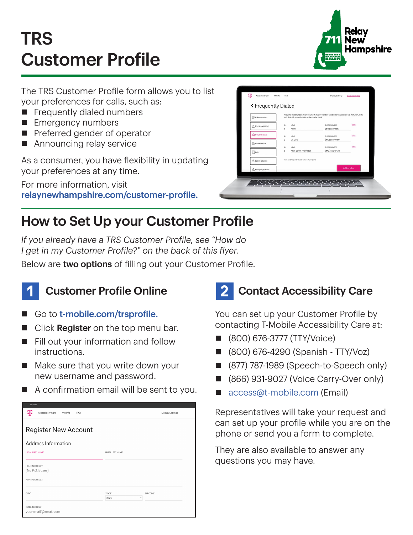# TRS Customer Profile



The TRS Customer Profile form allows you to list your preferences for calls, such as:

- $\blacksquare$  Frequently dialed numbers
- **Emergency numbers**
- $\blacksquare$  Preferred gender of operator
- $\blacksquare$  Announcing relay service

As a consumer, you have flexibility in updating your preferences at any time.

For more information, visit [relaynewhampshire.com/customer-profile](http://relaynewhampshire.com/customer-profile).

| < Frequently Dialed         |                                                                                                                                                                                  |                                  |               |
|-----------------------------|----------------------------------------------------------------------------------------------------------------------------------------------------------------------------------|----------------------------------|---------------|
| (1) IP Relay Numbers        | Frequently dialed numbers are phone numbers that you would like speed dial or easy access to (i.e. mom, work, home,<br>etc.). Up to 100 frequently dialed numbers can be stored. |                                  |               |
| △ Emergency Location        | 10<br><b>NAME</b><br>Mom<br>1                                                                                                                                                    | PHONE NUMBER<br>$(312)$ 555-2587 | Delete        |
| The Frequently Dialect      | 10<br><b>NAME</b><br>$\overline{2}$<br>Dr. Gold                                                                                                                                  | PHONE NUMBER<br>(410) 555-4789   | Delete        |
| Call Preferences            | 10<br>NAME                                                                                                                                                                       | PHONE NUMBER                     | <b>Oelete</b> |
| $\boxed{\frac{1}{2}}$ Notes | Main Street Pharmacy<br>3                                                                                                                                                        | (443) 555-0120                   |               |
| Speech to Speech            | There are 3 Frequently Dialed Numbers in your profile.                                                                                                                           |                                  |               |
| <b>Do</b> Emergency Numbers |                                                                                                                                                                                  |                                  | Add number    |

## How to Set Up your Customer Profile

*If you already have a TRS Customer Profile, see "How do I get in my Customer Profile?" on the back of this flyer.*

Below are two options of filling out your Customer Profile.



#### **Customer Profile Online**

- Go to [t-mobile.com/trsprofile.](http://t-mobile.com/trsprofile)
- Click Register on the top menu bar.
- $\blacksquare$  Fill out your information and follow instructions.
- $\blacksquare$  Make sure that you write down your new username and password.
- $\blacksquare$  A confirmation email will be sent to you.

| copairon                                          |                    |                         |  |  |  |
|---------------------------------------------------|--------------------|-------------------------|--|--|--|
| ሞ<br>Accessibility Care<br>911 Info<br><b>FAQ</b> |                    | <b>Display Settings</b> |  |  |  |
|                                                   |                    |                         |  |  |  |
| <b>Register New Account</b>                       |                    |                         |  |  |  |
| Address Information                               |                    |                         |  |  |  |
| LEGAL FIRST NAME'                                 | LEGAL LAST NAME'   |                         |  |  |  |
|                                                   |                    |                         |  |  |  |
| HOME ADDRESS 1"                                   |                    |                         |  |  |  |
| (No P.O. Boxes)                                   |                    |                         |  |  |  |
| HOME ADDRESS 2                                    |                    |                         |  |  |  |
| CITY <sup>*</sup>                                 | STATE <sup>®</sup> | ZIP CODE'               |  |  |  |
|                                                   | ٠<br>State         |                         |  |  |  |
| <b>EMAIL ADDRESS®</b><br>youremail@email.com      |                    |                         |  |  |  |

## **Contact Accessibility Care**

You can set up your Customer Profile by contacting T-Mobile Accessibility Care at:

- n (800) 676-3777 (TTY/Voice)
- n (800) 676-4290 (Spanish TTY/Voz)
- (877) 787-1989 (Speech-to-Speech only)
- (866) 931-9027 (Voice Carry-Over only)
- [access@t-mobile.com](mailto:access%40t-mobile.com?subject=) (Email)

Representatives will take your request and can set up your profile while you are on the phone or send you a form to complete.

They are also available to answer any questions you may have.